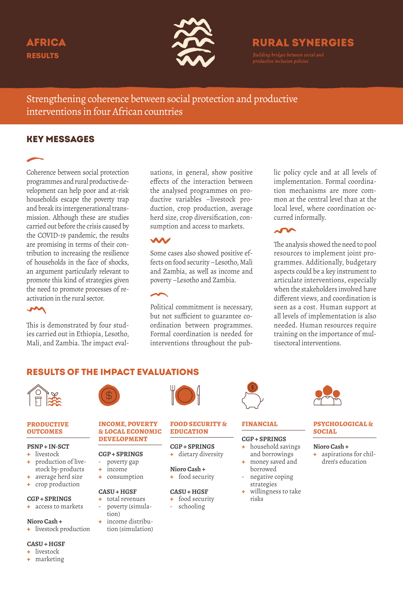## **AFRICA RESULTS**



## **RURAL SYNERGIES**

Strengthening coherence between social protection and productive interventions in four African countries

### Key messages

Coherence between social protection programmes and rural productive development can help poor and at-risk households escape the poverty trap and break its intergenerational transmission. Although these are studies carried out before the crisis caused by the COVID-19 pandemic, the results are promising in terms of their contribution to increasing the resilience of households in the face of shocks, an argument particularly relevant to promote this kind of strategies given the need to promote processes of reactivation in the rural sector.

This is demonstrated by four studies carried out in Ethiopia, Lesotho, Mali, and Zambia. The impact evaluations, in general, show positive effects of the interaction between the analysed programmes on productive variables –livestock production, crop production, average herd size, crop diversification, consumption and access to markets.

W

Some cases also showed positive effects on food security –Lesotho, Mali and Zambia, as well as income and poverty –Lesotho and Zambia.

Political commitment is necessary, but not sufficient to guarantee coordination between programmes. Formal coordination is needed for interventions throughout the public policy cycle and at all levels of implementation. Formal coordination mechanisms are more common at the central level than at the local level, where coordination occurred informally.

### $\sim$

The analysis showed the need to pool resources to implement joint programmes. Additionally, budgetary aspects could be a key instrument to articulate interventions, especially when the stakeholders involved have different views, and coordination is seen as a cost. Human support at all levels of implementation is also needed. Human resources require training on the importance of multisectoral interventions.

### Results of the impact evaluations



#### **PRODUCTIVE OUTCOMES**

### **PSNP + IN-SCT**

- **+** livestock **+** production of live-
- stock by-products **+** average herd size
- **+** crop production

#### **CGP + SPRINGS**

**+** access to markets

#### **Nioro Cash +**

**+** livestock production

#### **CASU + HGSF**

- **+** livestock
- **+** marketing

#### **INCOME, POVERTY & LOCAL ECONOMIC DEVELOPMENT**

#### **CGP + SPRINGS**

- poverty gap
- **+** income **+** consumption
- 

#### **CASU + HGSF**

- **+** total revenues **-** poverty (simulation)
- **+** income distribution (simulation)

#### **FOOD SECURITY & FINANCIAL**

#### **CGP + SPRINGS**

- **+** household savings and borrowings **+** money saved and
- borrowed **-** negative coping
- **+** willingness to take



#### **PSYCHOLOGICAL & SOCIAL**

#### **Nioro Cash +**

**+** aspirations for children's education

## **+** food security **CASU + HGSF**

**+** food security **-** schooling

**Nioro Cash +**

**EDUCATION CGP + SPRINGS +** dietary diversity

- strategies
	- risks